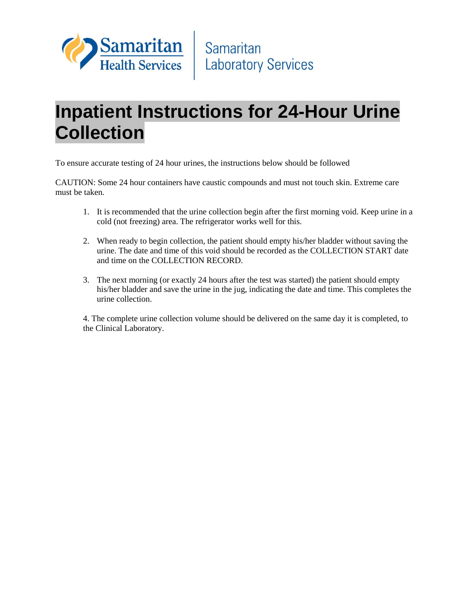

## **Inpatient Instructions for 24-Hour Urine Collection**

To ensure accurate testing of 24 hour urines, the instructions below should be followed

CAUTION: Some 24 hour containers have caustic compounds and must not touch skin. Extreme care must be taken.

- 1. It is recommended that the urine collection begin after the first morning void. Keep urine in a cold (not freezing) area. The refrigerator works well for this.
- 2. When ready to begin collection, the patient should empty his/her bladder without saving the urine. The date and time of this void should be recorded as the COLLECTION START date and time on the COLLECTION RECORD.
- 3. The next morning (or exactly 24 hours after the test was started) the patient should empty his/her bladder and save the urine in the jug, indicating the date and time. This completes the urine collection.

4. The complete urine collection volume should be delivered on the same day it is completed, to the Clinical Laboratory.